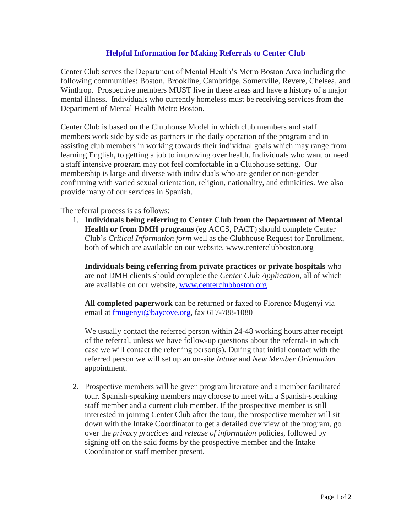## **Helpful Information for Making Referrals to Center Club**

Center Club serves the Department of Mental Health's Metro Boston Area including the following communities: Boston, Brookline, Cambridge, Somerville, Revere, Chelsea, and Winthrop. Prospective members MUST live in these areas and have a history of a major mental illness. Individuals who currently homeless must be receiving services from the Department of Mental Health Metro Boston.

Center Club is based on the Clubhouse Model in which club members and staff members work side by side as partners in the daily operation of the program and in assisting club members in working towards their individual goals which may range from learning English, to getting a job to improving over health. Individuals who want or need a staff intensive program may not feel comfortable in a Clubhouse setting. Our membership is large and diverse with individuals who are gender or non-gender confirming with varied sexual orientation, religion, nationality, and ethnicities. We also provide many of our services in Spanish.

The referral process is as follows:

1. **Individuals being referring to Center Club from the Department of Mental Health or from DMH programs** (eg ACCS, PACT) should complete Center Club's *Critical Information form* well as the Clubhouse Request for Enrollment, both of which are available on our website, www.centerclubboston.org

**Individuals being referring from private practices or private hospitals** who are not DMH clients should complete the *Center Club Application*, all of which are available on our website, [www.centerclubboston.org](http://www.centerclubboston.org/)

**All completed paperwork** can be returned or faxed to Florence Mugenyi via email at [fmugenyi@baycove.org,](mailto:fmugenyi@baycove.org) fax 617-788-1080

We usually contact the referred person within 24-48 working hours after receipt of the referral, unless we have follow-up questions about the referral- in which case we will contact the referring person(s). During that initial contact with the referred person we will set up an on-site *Intake* and *New Member Orientation* appointment.

2. Prospective members will be given program literature and a member facilitated tour. Spanish-speaking members may choose to meet with a Spanish-speaking staff member and a current club member. If the prospective member is still interested in joining Center Club after the tour, the prospective member will sit down with the Intake Coordinator to get a detailed overview of the program, go over the *privacy practices* and *release of information* policies, followed by signing off on the said forms by the prospective member and the Intake Coordinator or staff member present.